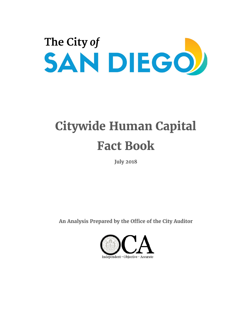

# **Citywide Human Capital Fact Book**

**July 2018**

**An Analysis Prepared by the Office of the City Auditor** 

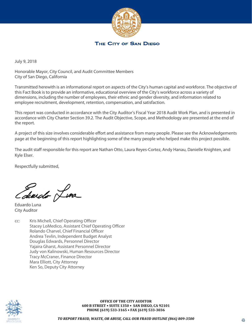

THE CITY OF SAN DIEGO

July 9, 2018

Honorable Mayor, City Council, and Audit Committee Members City of San Diego, California

Transmitted herewith is an informational report on aspects of the City's human capital and workforce. The objective of this Fact Book is to provide an informative, educational overview of the City's workforce across a variety of dimensions, including the number of employees, their ethnic and gender diversity, and information related to employee recruitment, development, retention, compensation, and satisfaction.

This report was conducted in accordance with the City Auditor's Fiscal Year 2018 Audit Work Plan, and is presented in accordance with City Charter Section 39.2. The Audit Objective, Scope, and Methodology are presented at the end of the report.

A project of this size involves considerable effort and assistance from many people. Please see the Acknowledgements page at the beginning of this report highlighting some of the many people who helped make this project possible.

The audit staff responsible for this report are Nathan Otto, Laura Reyes-Cortez, Andy Hanau, Danielle Knighten, and Kyle Elser.

Respectfully submitted,

diardo Lina

Eduardo Luna City Auditor

cc: Kris Michell, Chief Operating Officer Stacey LoMedico, Assistant Chief Operating Officer Rolando Charvel, Chief Financial Officer Andrea Tevlin, Independent Budget Analyst Douglas Edwards, Personnel Director Yajaira Gharst, Assistant Personnel Director Judy von Kalinowski, Human Resources Director Tracy McCraner, Finance Director Mara Elliott, City Attorney Ken So, Deputy City Attorney



2 **OFFICE OF THE CITY AUDITOR 600 B STREET SUITE 1350 SAN DIEGO, CA 92101 PHONE (619) 533-3165 FAX (619) 533-3036**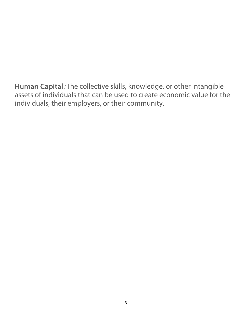Human Capital: The collective skills, knowledge, or other intangible assets of individuals that can be used to create economic value for the individuals, their employers, or their community.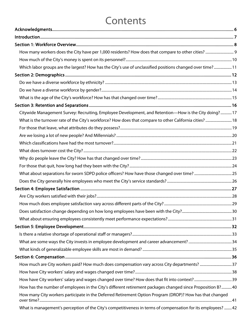## **Contents**

| Which labor groups are the largest? How has the City's use of unclassified positions changed over time? 11   |  |
|--------------------------------------------------------------------------------------------------------------|--|
|                                                                                                              |  |
|                                                                                                              |  |
|                                                                                                              |  |
|                                                                                                              |  |
|                                                                                                              |  |
| Citywide Management Survey: Recruiting, Employee Development, and Retention-How is the City doing?  17       |  |
| What is the turnover rate of the City's workforce? How does that compare to other California cities?  18     |  |
|                                                                                                              |  |
|                                                                                                              |  |
|                                                                                                              |  |
|                                                                                                              |  |
|                                                                                                              |  |
|                                                                                                              |  |
|                                                                                                              |  |
|                                                                                                              |  |
|                                                                                                              |  |
|                                                                                                              |  |
|                                                                                                              |  |
|                                                                                                              |  |
|                                                                                                              |  |
|                                                                                                              |  |
|                                                                                                              |  |
|                                                                                                              |  |
|                                                                                                              |  |
|                                                                                                              |  |
| How much are City workers paid? How much does compensation vary across City departments? 37                  |  |
|                                                                                                              |  |
|                                                                                                              |  |
| How has the number of employees in the City's different retirement packages changed since Proposition B?40   |  |
| How many City workers participate in the Deferred Retirement Option Program (DROP)? How has that changed     |  |
| What is management's perception of the City's competitiveness in terms of compensation for its employees? 42 |  |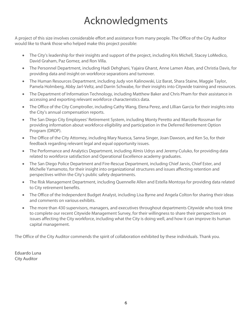## Acknowledgments

<span id="page-5-0"></span>A project of this size involves considerable effort and assistance from many people. The Office of the City Auditor would like to thank those who helped make this project possible:

- The City's leadership for their insights and support of the project, including Kris Michell, Stacey LoMedico, David Graham, Paz Gomez, and Ron Villa.
- The Personnel Department, including Hadi Dehghani, Yajaira Gharst, Anne Lamen Aban, and Christia Davis, for providing data and insight on workforce separations and turnover.
- The Human Resources Department, including Judy von Kalinowski, Liz Barat, Shara Staine, Maggie Taylor, Pamela Holmberg, Abby Jarl-Veltz, and Darrin Schwabe, for their insights into Citywide training and resources.
- The Department of Information Technology, including Matthew Baker and Chris Pham for their assistance in accessing and exporting relevant workforce characteristics data.
- The Office of the City Comptroller, including Cathy Wang, Elena Perez, and Lillian Garcia for their insights into the City's annual compensation reports.
- The San Diego City Employees' Retirement System, including Monty Peretto and Marcelle Rossman for providing information about workforce eligibility and participation in the Deferred Retirement Option Program (DROP).
- The Office of the City Attorney, including Mary Nuesca, Sanna Singer, Joan Dawson, and Ken So, for their feedback regarding relevant legal and equal opportunity issues.
- The Performance and Analytics Department, including Almis Udrys and Jeremy Culuko, for providing data related to workforce satisfaction and Operational Excellence academy graduates.
- The San Diego Police Department and Fire-Rescue Department, including Chief Jarvis, Chief Ester, and Michelle Yamamoto, for their insight into organizational structures and issues affecting retention and perspectives within the City's public safety departments.
- The Risk Management Department, including Quennelle Allen and Estella Montoya for providing data related to City retirement benefits.
- The Office of the Independent Budget Analyst, including Lisa Byrne and Angela Colton for sharing their ideas and comments on various exhibits.
- The more than 430 supervisors, managers, and executives throughout departments Citywide who took time to complete our recent Citywide Management Survey, for their willingness to share their perspectives on issues affecting the City workforce, including what the City is doing well, and how it can improve its human capital management.

The Office of the City Auditor commends the spirit of collaboration exhibited by these individuals. Thank you.

Eduardo Luna City Auditor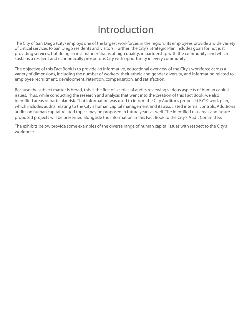## Introduction

<span id="page-6-0"></span>The City of San Diego (City) employs one of the largest workforces in the region. Its employees provide a wide variety of critical services to San Diego residents and visitors. Further, the City's Strategic Plan includes goals for not just providing services, but doing so in a manner that is of high quality, in partnership with the community, and which sustains a resilient and economically prosperous City with opportunity in every community.

The objective of this Fact Book is to provide an informative, educational overview of the City's workforce across a variety of dimensions, including the number of workers, their ethnic and gender diversity, and information related to employee recruitment, development, retention, compensation, and satisfaction.

Because the subject matter is broad, this is the first of a series of audits reviewing various aspects of human capital issues. Thus, while conducting the research and analysis that went into the creation of this Fact Book, we also identified areas of particular risk. That information was used to inform the City Auditor's proposed FY19 work plan, which includes audits relating to the City's human capital management and its associated internal controls. Additional audits on human capital-related topics may be proposed in future years as well. The identified risk areas and future proposed projects will be presented alongside the information in this Fact Book to the City's Audit Committee.

The exhibits below provide some examples of the diverse range of human capital issues with respect to the City's workforce.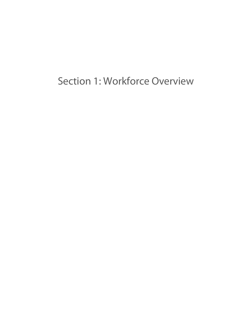<span id="page-7-0"></span>Section 1: Workforce Overview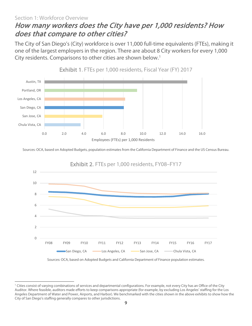#### <span id="page-8-0"></span>Section 1: Workforce Overview How many workers does the City have per 1,000 residents? How does that compare to other cities?

The City of San Diego's (City) workforce is over 11,000 full-time equivalents (FTEs), making it one of the largest employers in the region. There are about 8 City workers for every 1,000 City residents. Comparisons to other cities are shown below.<sup>[1](#page-8-2)</sup>



Exhibit 1. FTEs per 1,000 residents, Fiscal Year (FY) 2017

Sources: OCA, based on Adopted Budgets, population estimates from the California Department of Finance and the US Census Bureau.



Sources: OCA, based on Adopted Budgets and California Department of Finance population estimates.

<span id="page-8-2"></span><span id="page-8-1"></span>l <sup>1</sup> Cities consist of varying combinations of services and departmental configurations. For example, not every City has an Office of the City Auditor. Where feasible, auditors made efforts to keep comparisons appropriate (for example, by excluding Los Angeles' staffing for the Los Angeles Department of Water and Power, Airports, and Harbor). We benchmarked with the cities shown in the above exhibits to show how the City of San Diego's staffing generally compares to other jurisdictions.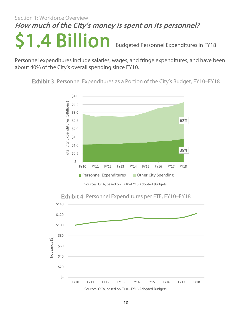## Section 1: Workforce Overview How much of the City's money is spent on its personnel?

**\$1.4 Billion** Budgeted Personnel Expenditures in FY18<br>Personnel expenditures include salaries, wages, and fringe expenditures, and have been

about 40% of the City's overall spending since FY10.

Exhibit 3. Personnel Expenditures as a Portion of the City's Budget, FY10–FY18



Sources: OCA, based on FY10–FY18 Adopted Budgets.

Exhibit 4. Personnel Expenditures per FTE, FY10–FY18

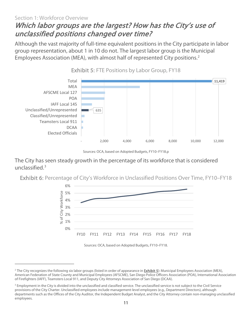#### <span id="page-10-0"></span>Section 1: Workforce Overview Which labor groups are the largest? How has the City's use of unclassified positions changed over time?

Although the vast majority of full-time equivalent positions in the City participate in labor group representation, about 1 in 10 do not. The largest labor group is the Municipal Employees Association (MEA), with almost half of represented City positions. [2](#page-10-1)



Exhibit 5: FTE Positions by Labor Group, FY18

The City has seen steady growth in the percentage of its workforce that is considered unclassified. [3](#page-10-2)

Exhibit 6: Percentage of City's Workforce in Unclassified Positions Over Time, FY10–FY18



 $\overline{\phantom{a}}$ 

Sources: OCA, based on Adopted Budgets, FY10–FY18.p

<span id="page-10-1"></span><sup>&</sup>lt;sup>2</sup> The City recognizes the following six labor groups (listed in order of appearance in **Exhibit 5**): Municipal Employees Association (MEA), American Federation of State County and Municipal Employees (AFSCME), San Diego Police Officers Association (POA), International Association of Firefighters (IAFF), Teamsters Local 911, and Deputy City Attorneys Association of San Diego (DCAA).

<span id="page-10-2"></span><sup>&</sup>lt;sup>3</sup> Employment in the City is divided into the unclassified and classified service. The unclassified service is not subject to the Civil Service provisions of the City Charter. Unclassified employees include management-level employees (e.g., Department Directors), although departments such as the Offices of the City Auditor, the Independent Budget Analyst, and the City Attorney contain non-managing unclassified employees.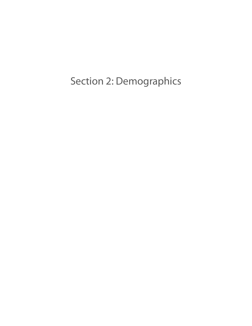<span id="page-11-0"></span>Section 2: Demographics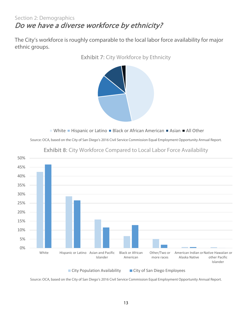#### <span id="page-12-0"></span>Section 2: Demographics Do we have a diverse workforce by ethnicity?

The City's workforce is roughly comparable to the local labor force availability for major ethnic groups.



Exhibit 7: City Workforce by Ethnicity

 $\blacksquare$  White  $\blacksquare$  Hispanic or Latino  $\blacksquare$  Black or African American  $\blacksquare$  Asian  $\blacksquare$  All Other

Source: OCA, based on the City of San Diego's 2016 Civil Service Commission Equal Employment Opportunity Annual Report.



Exhibit 8: City Workforce Compared to Local Labor Force Availability

Source: OCA, based on the City of San Diego's 2016 Civil Service Commission Equal Employment Opportunity Annual Report.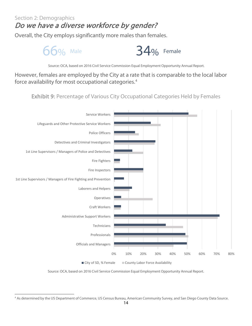#### Section 2: Demographics

#### <span id="page-13-0"></span>Do we have a diverse workforce by gender?

Overall, the City employs significantly more males than females.



Source: OCA, based on 2016 Civil Service Commission Equal Employment Opportunity Annual Report.

However, females are employed by the City at a rate that is comparable to the local labor force availability for most occupational categories.[4](#page-13-2)

Exhibit 9: Percentage of Various City Occupational Categories Held by Females



Source: OCA, based on 2016 Civil Service Commission Equal Employment Opportunity Annual Report.

<span id="page-13-2"></span><span id="page-13-1"></span> $\overline{\phantom{a}}$ <sup>4</sup> As determined by the US Department of Commerce, US Census Bureau, American Community Survey, and San Diego County Data Source.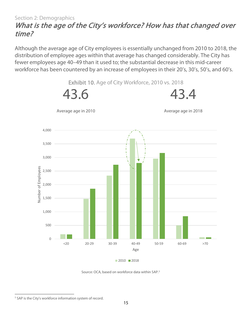#### Section 2: Demographics What is the age of the City's workforce? How has that changed over time?

Although the average age of City employees is essentially unchanged from 2010 to 2018, the distribution of employee ages within that average has changed considerably. The City has fewer employees age 40–49 than it used to; the substantial decrease in this mid-career workforce has been countered by an increase of employees in their 20's, 30's, 50's, and 60's.



<span id="page-14-0"></span> $\overline{\phantom{a}}$ <sup>5</sup> SAP is the City's workforce information system of record.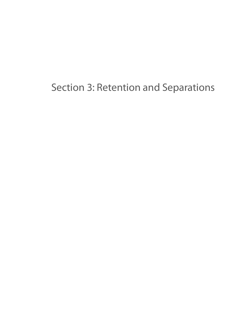<span id="page-15-0"></span>Section 3: Retention and Separations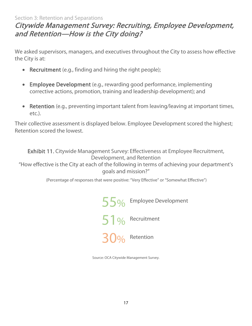#### Section 3: Retention and Separations

#### <span id="page-16-0"></span>Citywide Management Survey: Recruiting, Employee Development, and Retention—How is the City doing?

We asked supervisors, managers, and executives throughout the City to assess how effective the City is at:

- Recruitment (e.g., finding and hiring the right people);
- Employee Development (e.g., rewarding good performance, implementing corrective actions, promotion, training and leadership development); and
- Retention (e.g., preventing important talent from leaving/leaving at important times, etc.).

Their collective assessment is displayed below. Employee Development scored the highest; Retention scored the lowest.

Exhibit 11. Citywide Management Survey: Effectiveness at Employee Recruitment, Development, and Retention

"How effective is the City at each of the following in terms of achieving your department's goals and mission?"

(Percentage of responses that were positive: "Very Effective" or "Somewhat Effective")

55% Employee Development 51% Recruitment 0% Retention

Source: OCA Citywide Management Survey.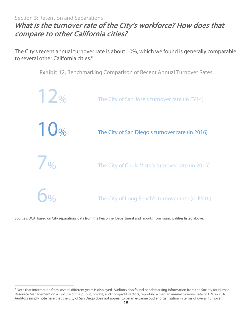#### <span id="page-17-0"></span>Section 3: Retention and Separations What is the turnover rate of the City's workforce? How does that compare to other California cities?

The City's recent annual turnover rate is about 10%, which we found is generally comparable to several other California cities.<sup>[6](#page-17-1)</sup>

Exhibit 12. Benchmarking Comparison of Recent Annual Turnover Rates



Sources: OCA, based on City separations data from the Personnel Department and reports from municipalities listed above.

<span id="page-17-1"></span>l <sup>6</sup> Note that information from several different years is displayed. Auditors also found benchmarking information from the Society for Human Resource Management on a mixture of the public, private, and non-profit sectors, reporting a median annual turnover rate of 15% in 2016. Auditors simply note here that the City of San Diego does not appear to be an extreme outlier organization in terms of overall turnover.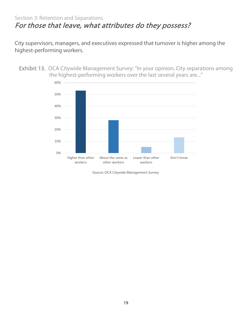#### <span id="page-18-0"></span>Section 3: Retention and Separations For those that leave, what attributes do they possess?

City supervisors, managers, and executives expressed that turnover is higher among the highest-performing workers.

Exhibit 13. OCA Citywide Management Survey: "In your opinion, City separations among the highest-performing workers over the last several years are..."



Source: OCA Citywide Management Survey.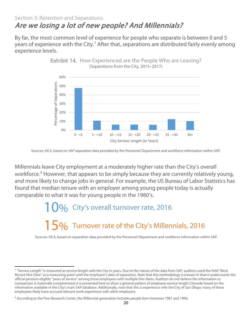#### <span id="page-19-0"></span>Section 3: Retention and Separations Are we losing a lot of new people? And Millennials?

By far, the most common level of experience for people who separate is between 0 and 5 years of experience with the City.<sup>[7](#page-19-1)</sup> After that, separations are distributed fairly evenly among experience levels.



Exhibit 14. How Experienced are the People Who are Leaving? (Separations from the City, 2015–2017)

Sources: OCA, based on SAP separation data provided by the Personnel Department and workforce information within SAP.

Millennials leave City employment at a moderately higher rate than the City's overall workforce.<sup>[8](#page-19-2)</sup> However, that appears to be simply because they are currently relatively young, and more likely to change jobs in general. For example, the US Bureau of Labor Statistics has found that median tenure with an employer among young people today is actually comparable to what it was for young people in the 1980's.

> $10%$  City's overall turnover rate, 2016  $15%$  Turnover rate of the City's Millennials, 2016

Sources: OCA, based on separation data provided by the Personnel Department and workforce information within SAP.

<span id="page-19-1"></span> $\overline{\phantom{a}}$ <sup>7</sup> "Service Length" is measured as service length with the City in years. Due to the nature of the data from SAP, auditors used the field "Most Recent Hire Date" as a measuring point until the employee's date of separation. Note that this methodology is inexact in that it undercounts the official pension-eligible "years of service" among those employees with multiple hire dates. Auditors do not believe the information or comparison is materially compromised; it is presented here to show a general pattern of employee service length Citywide based on the information available in the City's main SAP database. Additionally, note that this is experience with the City of San Diego; many of these employees likely have accrued relevant work experience with other employers.

<span id="page-19-2"></span><sup>8</sup> According to the Pew Research Center, the Millennial generation includes people born between 1981 and 1996.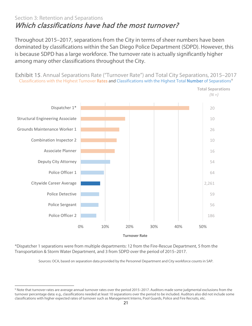#### <span id="page-20-0"></span>Section 3: Retention and Separations Which classifications have had the most turnover?

Throughout 2015–2017, separations from the City in terms of sheer numbers have been dominated by classifications within the San Diego Police Department (SDPD). However, this is because SDPD has a large workforce. The turnover rate is actually significantly higher among many other classifications throughout the City.

Exhibit 15. Annual Separations Rate ("Turnover Rate") and Total City Separations, 2015–2017 Classifications with the Highest Turnover Rates and Classifications with the Highest Total Number of Separations<sup>[9](#page-20-2)</sup>



\*Dispatcher 1 separations were from multiple departments: 12 from the Fire-Rescue Department, 5 from the Transportation & Storm Water Department, and 3 from SDPD over the period of 2015–2017.

<span id="page-20-1"></span>l

Sources: OCA, based on separation data provided by the Personnel Department and City workforce counts in SAP.

<span id="page-20-2"></span><sup>9</sup> Note that turnover rates are average annual turnover rates over the period 2015–2017. Auditors made some judgmental exclusions from the turnover percentage data: e.g., classifications needed at least 10 separations over the period to be included. Auditors also did not include some classifications with higher expected rates of turnover such as Management Interns, Pool Guards, Police and Fire Recruits, etc.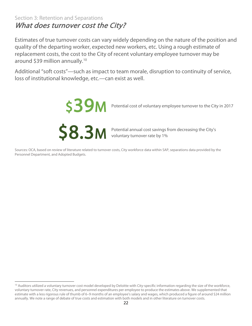#### Section 3: Retention and Separations What does turnover cost the City?

Estimates of true turnover costs can vary widely depending on the nature of the position and quality of the departing worker, expected new workers, etc. Using a rough estimate of replacement costs, the cost to the City of recent voluntary employee turnover may be around \$39 million annually[.10](#page-21-0)

Additional "soft costs"—such as impact to team morale, disruption to continuity of service, loss of institutional knowledge, etc.—can exist as well.



l

\$39M Potential cost of voluntary employee turnover to the City in 2017

Potential annual cost savings from decreasing the City's voluntary turnover rate by 1%

Sources: OCA, based on review of literature related to turnover costs, City workforce data within SAP, separations data provided by the Personnel Department, and Adopted Budgets.

<span id="page-21-0"></span><sup>&</sup>lt;sup>10</sup> Auditors utilized a voluntary turnover cost model developed by Deloitte with City-specific information regarding the size of the workforce, voluntary turnover rate, City revenues, and personnel expenditures per employee to produce the estimates above. We supplemented that estimate with a less rigorous rule of thumb of 6–9 months of an employee's salary and wages, which produced a figure of around \$24 million annually. We note a range of debate of true costs and estimation with both models and in other literature on turnover costs.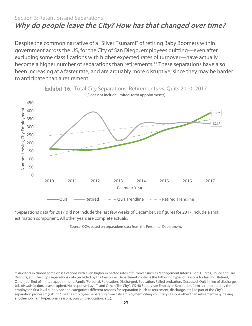#### <span id="page-22-0"></span>Section 3: Retention and Separations Why do people leave the City? How has that changed over time?

Despite the common narrative of a "Silver Tsunami" of retiring Baby Boomers within government across the US, for the City of San Diego, employees quitting—even after excluding some classifications with higher expected rates of turnover—have actually become a higher number of separations than retirements. [11](#page-22-1) These separations have also been increasing at a faster rate, and are arguably more disruptive, since they may be harder to anticipate than a retirement.



Exhibit 16. Total City Separations, Retirements vs. Quits 2010–2017

\*Separations data for 2017 did not include the last few weeks of December, so figures for 2017 include a small estimation component. All other years are complete actuals.

 $\overline{\phantom{a}}$ 

Source: OCA, based on separations data from the Personnel Department.

<span id="page-22-1"></span><sup>&</sup>lt;sup>11</sup> Auditors excluded some classifications with even higher expected rates of turnover such as Management Interns, Pool Guards, Police and Fire Recruits, etc. The City's separations data provided by the Personnel Department contains the following types of reasons for leaving: Retired, Other job, End of limited appointment, Family/Personal, Relocation, Discharged, Education, Failed probation, Deceased, Quit in lieu of discharge, Job dissatisfaction, Leave expired/No response, Layoff, and Other. The City's CS-40 Supervisor Employee Separation form is completed by the employee's first level supervisor and categorizes different reasons for separation (such as retirement, discharge, etc.) as part of the City's separation process. "Quitting" means employees separating from City employment citing voluntary reasons other than retirement (e.g., taking another job, family/personal reasons, pursuing education, etc.).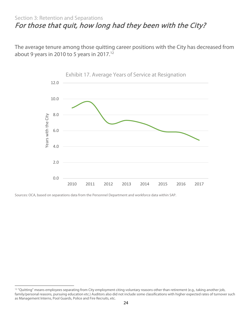#### <span id="page-23-0"></span>Section 3: Retention and Separations For those that quit, how long had they been with the City?

The average tenure among those quitting career positions with the City has decreased from about 9 years in 2010 to 5 years in 2017.<sup>12</sup>



Sources: OCA, based on separations data from the Personnel Department and workforce data within SAP.

<span id="page-23-1"></span>l <sup>12</sup> "Quitting" means employees separating from City employment citing voluntary reasons other than retirement (e.g., taking another job, family/personal reasons, pursuing education etc.) Auditors also did not include some classifications with higher expected rates of turnover such as Management Interns, Pool Guards, Police and Fire Recruits, etc.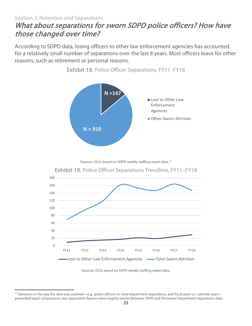#### <span id="page-24-0"></span>Section 3: Retention and Separations What about separations for sworn SDPD police officers? How have those changed over time?

According to SDPD data, losing officers to other law enforcement agencies has accounted for a relatively small number of separations over the last 8 years. Most officers leave for other reasons, such as retirement or personal reasons.



Exhibit 18. Police Officer Separations, FY11–FY18

Sources: OCA, based on SDPD weekly staffing report data.<sup>[13](#page-24-1)</sup>





<span id="page-24-1"></span> $\overline{\phantom{a}}$ <sup>13</sup> Variances in the way the data was counted—e.g., police officers vs. total department separations, and fiscal years vs. calendar years prevented exact comparisons, but separations figures were roughly similar between SDPD and Personnel Department separations data.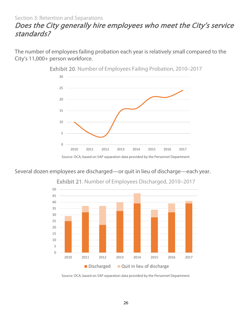#### Section 3: Retention and Separations

#### <span id="page-25-0"></span>Does the City generally hire employees who meet the City's service standards?

The number of employees failing probation each year is relatively small compared to the City's 11,000+ person workforce.



Exhibit 20. Number of Employees Failing Probation, 2010–2017

Several dozen employees are discharged—or quit in lieu of discharge—each year.



Exhibit 21. Number of Employees Discharged, 2010–2017

Source: OCA, based on SAP separation data provided by the Personnel Department.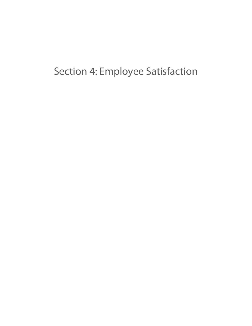## <span id="page-26-0"></span>Section 4: Employee Satisfaction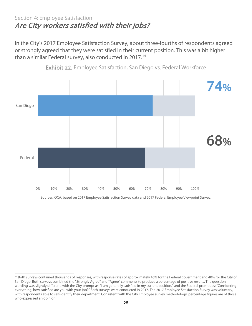#### <span id="page-27-0"></span>Section 4: Employee Satisfaction Are City workers satisfied with their jobs?

In the City's 2017 Employee Satisfaction Survey, about three-fourths of respondents agreed or strongly agreed that they were satisfied in their current position. This was a bit higher than a similar Federal survey, also conducted in 2017.<sup>14</sup>



Exhibit 22. Employee Satisfaction, San Diego vs. Federal Workforce

Sources: OCA, based on 2017 Employee Satisfaction Survey data and 2017 Federal Employee Viewpoint Survey.

<span id="page-27-1"></span>l <sup>14</sup> Both surveys contained thousands of responses, with response rates of approximately 46% for the Federal government and 40% for the City of San Diego. Both surveys combined the "Strongly Agree" and "Agree" comments to produce a percentage of positive results. The question wording was slightly different, with the City prompt as: "I am generally satisfied in my current position," and the Federal prompt as: "Considering everything, how satisfied are you with your job?" Both surveys were conducted in 2017. The 2017 Employee Satisfaction Survey was voluntary, with respondents able to self-identify their department. Consistent with the City Employee survey methodology, percentage figures are of those who expressed an opinion.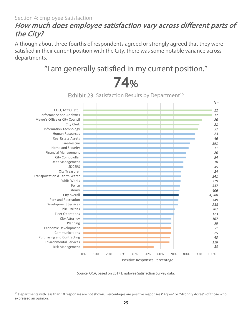#### <span id="page-28-0"></span>How much does employee satisfaction vary across different parts of the City?

Although about three-fourths of respondents agreed or strongly agreed that they were satisfied in their current position with the City, there was some notable variance across departments.

## "I am generally satisfied in my current position."



 $\overline{74\%}$ <br>Exhibit 23. Satisfaction Results by Department<sup>15</sup>

Source: OCA, based on 2017 Employee Satisfaction Survey data.

<span id="page-28-1"></span> $\overline{\phantom{a}}$ <sup>15</sup> Departments with less than 10 responses are not shown. Percentages are positive responses ("Agree" or "Strongly Agree") of those who expressed an opinion.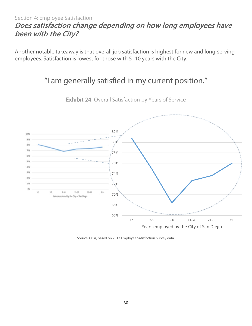#### <span id="page-29-0"></span>Section 4: Employee Satisfaction Does satisfaction change depending on how long employees have been with the City?

Another notable takeaway is that overall job satisfaction is highest for new and long-serving employees. Satisfaction is lowest for those with 5–10 years with the City.

#### "I am generally satisfied in my current position."



Exhibit 24: Overall Satisfaction by Years of Service

Source: OCA, based on 2017 Employee Satisfaction Survey data.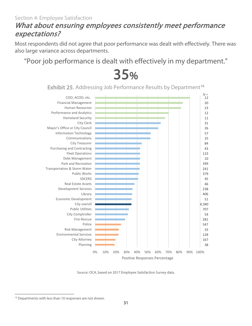#### <span id="page-30-0"></span>Section 4: Employee Satisfaction What about ensuring employees consistently meet performance expectations?

Most respondents did not agree that poor performance was dealt with effectively. There was also large variance across departments.

# "Poor job performance is dealt with effectively in my department."<br>  $35%$ <br>
Exhibit 25. Addressing Job Performance Results by Department<sup>16</sup>

38 167 128 33 547 281 54 707 4,580 51 406 238 46 45 379 241 349 10 123 43 84 25 57 26 31 11 12 23 20 12 0% 10% 20% 30% 40% 50% 60% 70% 80% 90% 100% Planning City Attorney Environmental Services Risk Management Police Fire-Rescue City Comptroller Public Utilities City overall Economic Development Library Development Services Real Estate Assets **SDCERS** Public Works Transportation & Storm Water Park and Recreation Debt Management Fleet Operations Purchasing and Contracting City Treasurer Communications Information Technology Mayor's Office or City Council City Clerk Homeland Security Performance and Analytics Human Resources Financial Management COO, ACOO, etc. Positive Responses Percentage *N =*

Source: OCA, based on 2017 Employee Satisfaction Survey data.

<span id="page-30-1"></span> $\overline{\phantom{a}}$ <sup>16</sup> Departments with less than 10 responses are not shown.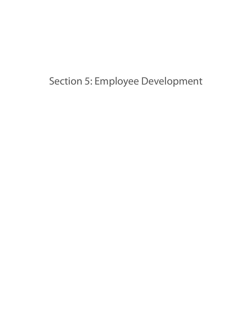## <span id="page-31-0"></span>Section 5: Employee Development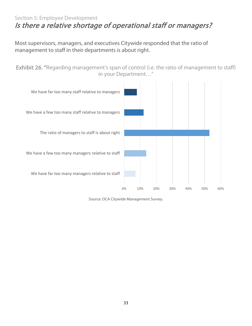#### <span id="page-32-0"></span>Section 5: Employee Development Is there a relative shortage of operational staff or managers?

Most supervisors, managers, and executives Citywide responded that the ratio of management to staff in their departments is about right.

Exhibit 26. "Regarding management's span of control (i.e. the ratio of management to staff) in your Department…"

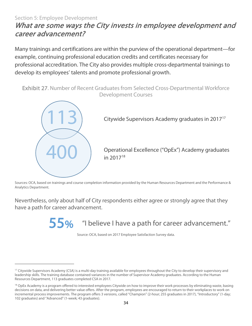#### <span id="page-33-0"></span>Section 5: Employee Development What are some ways the City invests in employee development and career advancement?

Many trainings and certifications are within the purview of the operational department—for example, continuing professional education credits and certificates necessary for professional accreditation. The City also provides multiple cross-departmental trainings to develop its employees' talents and promote professional growth.

Exhibit 27. Number of Recent Graduates from Selected Cross-Departmental Workforce Development Courses



<span id="page-33-1"></span> $\overline{\phantom{a}}$ 

Citywide Supervisors Academy graduates in 20[17](#page-33-2)<sup>17</sup>

400 Operational Excellence ("OpEx") Academy graduates in 2017[18](#page-33-3)

Sources: OCA, based on trainings and course completion information provided by the Human Resources Department and the Performance & Analytics Department.

Nevertheless, only about half of City respondents either agree or strongly agree that they have a path for career advancement.

r career adva $\overline{55\%}$ "I believe I have a path for career advancement."

Source: OCA, based on 2017 Employee Satisfaction Survey data.

<span id="page-33-2"></span><sup>&</sup>lt;sup>17</sup> Citywide Supervisors Academy (CSA) is a multi-day training available for employees throughout the City to develop their supervisory and leadership skills. The training database contained variances in the number of Supervisor Academy graduates. According to the Human Resources Department, 113 graduates completed CSA in 2017.

<span id="page-33-3"></span><sup>&</sup>lt;sup>18</sup> OpEx Academy is a program offered to interested employees Citywide on how to improve their work processes by eliminating waste, basing decisions on data, and delivering better value offers. After the program, employees are encouraged to return to their workplaces to work on incremental process improvements. The program offers 3 versions, called "Champion" (2-hour; 255 graduates in 2017), "Introductory" (1-day; 102 graduates) and "Advanced" (1-week; 43 graduates).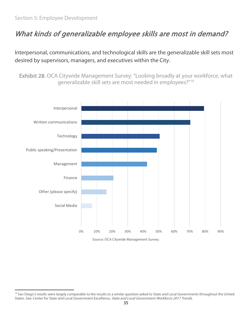## What kinds of generalizable employee skills are most in demand?

Interpersonal, communications, and technological skills are the generalizable skill sets most desired by supervisors, managers, and executives within the City.

Exhibit 28. OCA Citywide Management Survey: "Looking broadly at your workforce, what generalizable skill sets are most needed in employees?"[19](#page-34-0)



<span id="page-34-0"></span> $\overline{\phantom{a}}$ <sup>19</sup> San Diego's results were largely comparable to the results to a similar question asked to State and Local Governments throughout the United States. See: Center for State and Local Government Excellence, State and Local Government Workforce 2017 Trends.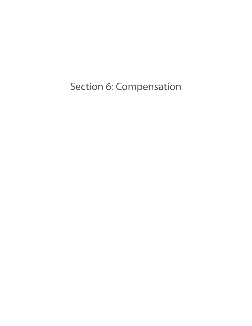<span id="page-35-0"></span>Section 6: Compensation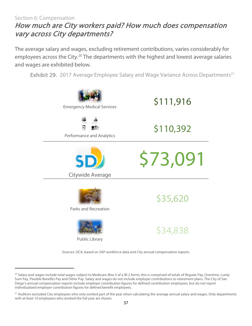#### <span id="page-36-0"></span>Section 6: Compensation How much are City workers paid? How much does compensation vary across City departments?

The average salary and wages, excluding retirement contributions, varies considerably for employees across the City.<sup>[20](#page-36-1)</sup> The departments with the highest and lowest average salaries and wages are exhibited below.

Exhibit 29. 2017 Average Employee Salary and Wage Variance Across Departments<sup>[21](#page-36-2)</sup>



Sources: OCA, based on SAP workforce data and City annual compensation reports.

l

<span id="page-36-1"></span><sup>&</sup>lt;sup>20</sup> Salary and wages include total wages subject to Medicare (Box 5 of a W-2 form); this is comprised of totals of Regular Pay, Overtime, Lump Sum Pay, Flexible Benefits Pay and Other Pay. Salary and wages do not include employer contributions to retirement plans. The City of San Diego's annual compensation reports include employer contribution figures for defined contribution employees, but do not report individualized employer contribution figures for defined benefit employees.

<span id="page-36-2"></span><sup>&</sup>lt;sup>21</sup> Auditors excluded City employees who only worked part of the year when calculating the average annual salary and wages. Only departments with at least 10 employees who worked the full year are shown.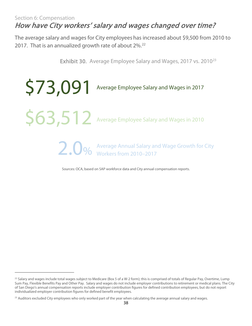#### <span id="page-37-0"></span>Section 6: Compensation How have City workers' salary and wages changed over time?

The average salary and wages for City employees has increased about \$9,500 from 2010 to 2017. That is an annualized growth rate of about 2%.<sup>22</sup>

Exhibit 30. Average Employee Salary and Wages, 2017 vs. 2010<sup>[23](#page-37-2)</sup>



Sources: OCA, based on SAP workforce data and City annual compensation reports.

 $\overline{\phantom{a}}$ 

<span id="page-37-1"></span> $^{22}$  Salary and wages include total wages subject to Medicare (Box 5 of a W-2 form); this is comprised of totals of Regular Pay, Overtime, Lump Sum Pay, Flexible Benefits Pay and Other Pay. Salary and wages do not include employer contributions to retirement or medical plans. The City of San Diego's annual compensation reports include employer contribution figures for defined contribution employees, but do not report individualized employer contribution figures for defined benefit employees.

<span id="page-37-2"></span> $23$  Auditors excluded City employees who only worked part of the year when calculating the average annual salary and wages.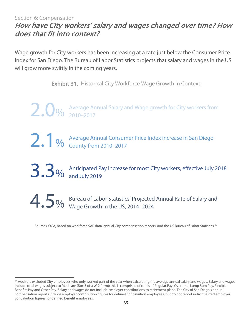#### <span id="page-38-0"></span>Section 6: Compensation How have City workers' salary and wages changed over time? How does that fit into context?

Wage growth for City workers has been increasing at a rate just below the Consumer Price Index for San Diego. The Bureau of Labor Statistics projects that salary and wages in the US will grow more swiftly in the coming years.

Exhibit 31. Historical City Workforce Wage Growth in Context

2.0% Average Annual Salary and Wage growth for City workers from 2010–2017 2.1% Average Annual Consumer Price Index increase in San Diego County from 2010–2017 3.3% Anticipated Pay Increase for most City workers, effective July 2018<br>3.3% and July 2019 4.5% Bureau of Labor Statistics' Projected Annual Rate of Salary and Wage Growth in the US, 2014–2024

<span id="page-38-1"></span>Sources: OCA, based on workforce SAP data, annual City compensation reports, and the US Bureau of Labor Statistics.[24](#page-38-2)

 $\overline{\phantom{a}}$ 

<span id="page-38-2"></span> $^{24}$  Auditors excluded City employees who only worked part of the year when calculating the average annual salary and wages. Salary and wages include total wages subject to Medicare (Box 5 of a W-2 form); this is comprised of totals of Regular Pay, Overtime, Lump Sum Pay, Flexible Benefits Pay and Other Pay. Salary and wages do not include employer contributions to retirement plans. The City of San Diego's annual compensation reports include employer contribution figures for defined contribution employees, but do not report individualized employer contribution figures for defined benefit employees.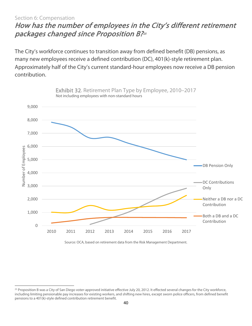#### Section 6: Compensation

l

#### How has the number of employees in the City's different retirement packages changed since Proposition B[?25](#page-39-0)

The City's workforce continues to transition away from defined benefit (DB) pensions, as many new employees receive a defined contribution (DC), 401(k)-style retirement plan. Approximately half of the City's current standard-hour employees now receive a DB pension contribution.



Source: OCA, based on retirement data from the Risk Management Department.

<span id="page-39-0"></span><sup>&</sup>lt;sup>25</sup> Proposition B was a City of San Diego voter-approved initiative effective July 20, 2012. It effected several changes for the City workforce, including limiting pensionable pay increases for existing workers, and shifting new hires, except sworn police officers, from defined benefit pensions to a 401(k)-style defined contribution retirement benefit.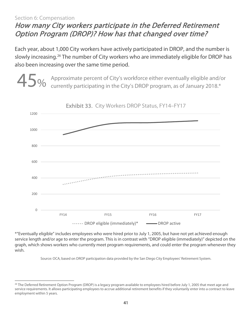#### <span id="page-40-0"></span>Section 6: Compensation How many City workers participate in the Deferred Retirement Option Program (DROP)? How has that changed over time?

Each year, about 1,000 City workers have actively participated in DROP, and the number is slowly increasing.<sup>[26](#page-40-1)</sup> The number of City workers who are immediately eligible for DROP has also been increasing over the same time period.

45% Approximate percent of City's workforce either eventually eligible and/or<br>currently participating in the City's DROP program, as of January 2018.\*



\*"Eventually eligible" includes employees who were hired prior to July 1, 2005, but have not yet achieved enough service length and/or age to enter the program. This is in contrast with "DROP eligible (immediately)" depicted on the graph, which shows workers who currently meet program requirements, and could enter the program whenever they wish.

Source: OCA, based on DROP participation data provided by the San Diego City Employees' Retirement System.

<span id="page-40-1"></span> $\overline{\phantom{a}}$ <sup>26</sup> The Deferred Retirement Option Program (DROP) is a legacy program available to employees hired before July 1, 2005 that meet age and service requirements. It allows participating employees to accrue additional retirement benefits if they voluntarily enter into a contract to leave employment within 5 years.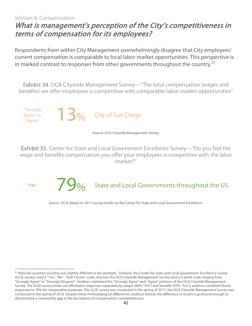#### Section 6: Compensation

#### <span id="page-41-0"></span>What is management's perception of the City's competitiveness in terms of compensation for its employees?

Respondents from within City Management overwhelmingly disagree that City employees' current compensation is comparable to local labor market opportunities. This perspective is in marked contrast to responses from other governments throughout the country. $27$ 

Exhibit 34. OCA Citywide Management Survey—"The total compensation (wages and benefits) we offer employees is competitive with comparable labor market opportunities"



Source: OCA Citywide Management Survey.

Exhibit 35. Center for State and Local Government Excellence Survey—"Do you feel the wage and benefits compensation you offer your employees is competitive with the labor market?"



#### "Yes"  $\begin{array}{cc} \sqrt{90} & \text{State and Local Governments throughout the US} \end{array}$

Source: OCA, based on 2017 survey results by the Center for State and Local Government Excellence.

<span id="page-41-1"></span> $\overline{\phantom{a}}$ <sup>27</sup> Note the question wording was slightly different in the prompts. Similarly, the Center for State and Local Government Excellence Survey (SLGE survey) used a "Yes", "No", "Don't know" scale, whereas the OCA Citywide Management Survey used a 5-point scale ranging from "Strongly Agree" to "Strongly Disagree". Auditors combined the "Strongly Agree" and "Agree" portions of the OCA Citywide Management Survey. The SLGE survey broke out affirmative responses separately by wages (64% "Yes") and benefits (93% "Yes"); auditors combined those responses to 79% for comparative purposes. The SLGE survey was conducted in the spring of 2017; the OCA Citywide Management Survey was conducted in the spring of 2018. Despite these methodological differences, auditors believe the difference in results is profound enough to demonstrate a noteworthy gap in the perception of compensation competitiveness.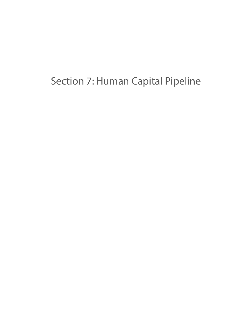## <span id="page-42-0"></span>Section 7: Human Capital Pipeline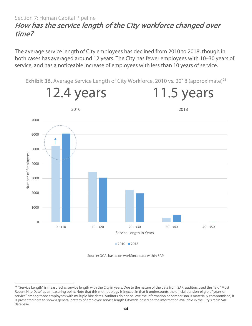#### <span id="page-43-0"></span>Section 7: Human Capital Pipeline How has the service length of the City workforce changed over time?

The average service length of City employees has declined from 2010 to 2018, though in both cases has averaged around 12 years. The City has fewer employees with 10–30 years of service, and has a noticeable increase of employees with less than 10 years of service.

Exhibit 36. Average Service Length of City Workforce, 2010 vs. 2018 (approximate)<sup>[28](#page-43-2)</sup>



Source: OCA, based on workforce data within SAP.

<span id="page-43-2"></span><span id="page-43-1"></span>l <sup>28</sup> "Service Length" is measured as service length with the City in years. Due to the nature of the data from SAP, auditors used the field "Most Recent Hire Date" as a measuring point. Note that this methodology is inexact in that it undercounts the official pension-eligible "years of service" among those employees with multiple hire dates. Auditors do not believe the information or comparison is materially compromised; it is presented here to show a general pattern of employee service length Citywide based on the information available in the City's main SAP database.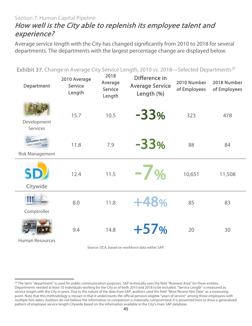#### Section 7: Human Capital Pipeline How well is the City able to replenish its employee talent and experience?

Average service length with the City has changed significantly from 2010 to 2018 for several departments. The departments with the largest percentage change are displayed below.

| <b>Exhibit 37.</b> Change in Average City Service Length, 2010 vs. 2018—Selected Departments <sup>29</sup> |                                          |                                             |                                                       |                             |                             |  |
|------------------------------------------------------------------------------------------------------------|------------------------------------------|---------------------------------------------|-------------------------------------------------------|-----------------------------|-----------------------------|--|
| <b>Department</b>                                                                                          | 2010 Average<br><b>Service</b><br>Length | 2018<br>Average<br><b>Service</b><br>Length | Difference in<br><b>Average Service</b><br>Length (%) | 2010 Number<br>of Employees | 2018 Number<br>of Employees |  |
| Development<br><b>Services</b>                                                                             | 15.7                                     | 10.5                                        | $-33%$                                                | 323                         | 478                         |  |
| <b>EMPLOYEE DI</b><br><b>ETY &amp; MENTAL HEALTH</b><br>PUBLIC LIABILITY WORKE<br><b>Risk Management</b>   | 11.8                                     | 7.9                                         | $-33%$                                                | 88                          | 84                          |  |
| SD<br>Citywide                                                                                             | 12.4                                     | 11.5                                        | $-7%$                                                 | 10,651                      | 11,508                      |  |
| Comptroller                                                                                                | 8.0                                      | 11.8                                        | +48%                                                  | 85                          | 83                          |  |
| <b>Human Resources</b>                                                                                     | 9.4                                      | 14.8                                        | $+57%$                                                | 20                          | 30                          |  |

Source: OCA, based on workforce data within SAP.

<span id="page-44-0"></span> $\overline{\phantom{a}}$ 

<span id="page-44-1"></span><sup>&</sup>lt;sup>29</sup> The term "department" is used for public communication purposes. SAP technically uses the field "Business Area" for these entities. Departments needed at least 10 individuals working for the City as of both 2010 and 2018 to be included. "Service Length" is measured as service length with the City in years. Due to the nature of the data from SAP, auditors used the field "Most Recent Hire Date" as a measuring point. Note that this methodology is inexact in that it undercounts the official pension-eligible "years of service" among those employees with multiple hire dates. Auditors do not believe the information or comparison is materially compromised; it is presented here to show a generalized pattern of employee service length Citywide based on the information available in the City's main SAP database.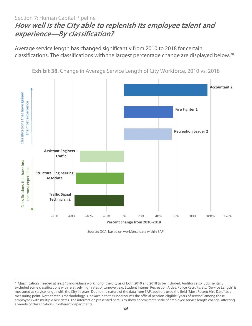#### Section 7: Human Capital Pipeline How well is the City able to replenish its employee talent and experience—By classification?

Average service length has changed significantly from 2010 to 2018 for certain classifications. The classifications with the largest percentage change are displayed below. [30](#page-45-1) 



Exhibit 38. Change in Average Service Length of City Workforce, 2010 vs. 2018

Source: OCA, based on workforce data within SAP.

<span id="page-45-0"></span> $\overline{\phantom{a}}$ 

<span id="page-45-1"></span><sup>&</sup>lt;sup>30</sup> Classifications needed at least 10 individuals working for the City as of both 2010 and 2018 to be included. Auditors also judgmentally excluded some classifications with relatively high rates of turnover, e.g. Student Interns, Recreation Aides, Police Recruits, etc. "Service Length" is measured as service length with the City in years. Due to the nature of the data from SAP, auditors used the field "Most Recent Hire Date" as a measuring point. Note that this methodology is inexact in that it undercounts the official pension-eligible "years of service" among those employees with multiple hire dates. The information presented here is to show approximate scale of employee service length change, affecting a variety of classifications in different departments.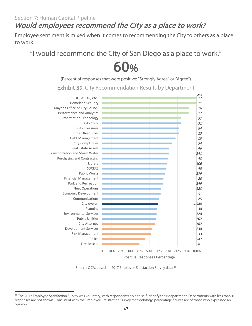### Would employees recommend the City as a place to work?

Employee sentiment is mixed when it comes to recommending the City to others as a place to work.

"I would recommend the City of San Diego as a place to work."<br>  $\bigodot \bigodot \bigodot \bigodot$ <br>
(Percent of responses that were positive: "Strongly Agree" or "Agree")

Exhibit 39. City Recommendation Results by Department



Source: OCA, based on 2017 Employee Satisfaction Survey data. 31

<span id="page-46-0"></span> $\overline{\phantom{a}}$ <sup>31</sup> The 2017 Employee Satisfaction Survey was voluntary, with respondents able to self-identify their department. Departments with less than 10 responses are not shown. Consistent with the Employee Satisfaction Survey methodology, percentage figures are of those who expressed an opinion.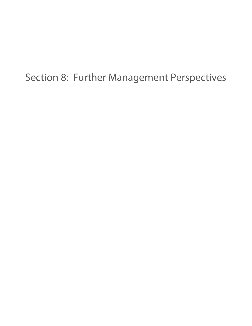## <span id="page-47-0"></span>Section 8: Further Management Perspectives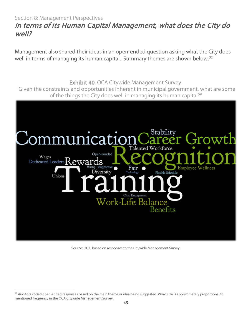#### <span id="page-48-0"></span>Section 8: Management Perspectives In terms of its Human Capital Management, what does the City do well?

Management also shared their ideas in an open-ended question asking what the City does well in terms of managing its human capital. Summary themes are shown below.<sup>[32](#page-48-1)</sup>

Exhibit 40. OCA Citywide Management Survey: "Given the constraints and opportunities inherent in municipal government, what are some of the things the City does well in managing its human capital?" Stability 1cat1 Talented Workforce Open-minded Wages Dedicated Leaders Rewards **Employee Wellness** Fair Diversity **Flexible Sch** Unions Work-Life Balance

Source: OCA, based on responses to the Citywide Management Survey.

<span id="page-48-1"></span> $\overline{\phantom{a}}$ <sup>32</sup> Auditors coded open-ended responses based on the main theme or idea being suggested. Word size is approximately proportional to mentioned frequency in the OCA Citywide Management Survey.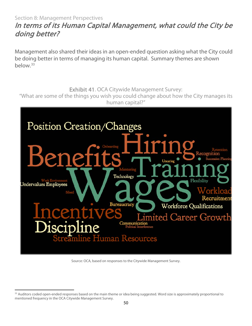#### <span id="page-49-0"></span>Section 8: Management Perspectives In terms of its Human Capital Management, what could the City be doing better?

Management also shared their ideas in an open-ended question asking what the City could be doing better in terms of managing its human capital. Summary themes are shown below.[33](#page-49-1)

Exhibit 41. OCA Citywide Management Survey:

"What are some of the things you wish you could change about how the City manages its human capital?"



Source: OCA, based on responses to the Citywide Management Survey.

<span id="page-49-1"></span> $\overline{\phantom{a}}$ <sup>33</sup> Auditors coded open-ended responses based on the main theme or idea being suggested. Word size is approximately proportional to mentioned frequency in the OCA Citywide Management Survey.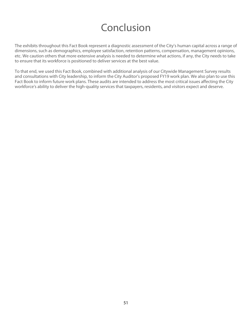## Conclusion

<span id="page-50-0"></span>The exhibits throughout this Fact Book represent a diagnostic assessment of the City's human capital across a range of dimensions, such as demographics, employee satisfaction, retention patterns, compensation, management opinions, etc. We caution others that more extensive analysis is needed to determine what actions, if any, the City needs to take to ensure that its workforce is positioned to deliver services at the best value.

To that end, we used this Fact Book, combined with additional analysis of our Citywide Management Survey results and consultations with City leadership, to inform the City Auditor's proposed FY19 work plan. We also plan to use this Fact Book to inform future work plans. These audits are intended to address the most critical issues affecting the City workforce's ability to deliver the high-quality services that taxpayers, residents, and visitors expect and deserve.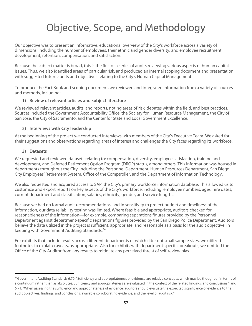## Objective, Scope, and Methodology

<span id="page-51-0"></span>Our objective was to present an informative, educational overview of the City's workforce across a variety of dimensions, including the number of employees, their ethnic and gender diversity, and employee recruitment, development, retention, compensation, and satisfaction.

Because the subject matter is broad, this is the first of a series of audits reviewing various aspects of human capital issues. Thus, we also identified areas of particular risk, and produced an internal scoping document and presentation with suggested future audits and objectives relating to the City's Human Capital Management.

To produce the Fact Book and scoping document, we reviewed and integrated information from a variety of sources and methods, including:

#### 1) Review of relevant articles and subject literature

We reviewed relevant articles, audits, and reports, noting areas of risk, debates within the field, and best practices. Sources included the Government Accountability Office, the Society for Human Resource Management, the City of San Jose, the City of Sacramento, and the Center for State and Local Government Excellence.

#### 2) Interviews with City leadership

At the beginning of the project we conducted interviews with members of the City's Executive Team. We asked for their suggestions and observations regarding areas of interest and challenges the City faces regarding its workforce.

#### 3) Datasets

l

We requested and reviewed datasets relating to: compensation, diversity, employee satisfaction, training and development, and Deferred Retirement Option Program (DROP) status, among others. This information was housed in departments throughout the City, including the Personnel Department, Human Resources Department, San Diego City Employees' Retirement System, Office of the Comptroller, and the Department of Information Technology.

We also requested and acquired access to SAP, the City's primary workforce information database. This allowed us to customize and export reports on key aspects of the City's workforce, including: employee numbers, ages, hire dates, current department and classification, salaries, ethnicity, gender, and service lengths.

Because we had no formal audit recommendations, and in sensitivity to project budget and timeliness of the information, our data reliability testing was limited. Where feasible and appropriate, auditors checked for reasonableness of the information—for example, comparing separations figures provided by the Personnel Department against department-specific separations figures provided by the San Diego Police Department. Auditors believe the data utilized in the project is sufficient, appropriate, and reasonable as a basis for the audit objective, in keeping with Government Auditing Standards. [34](#page-51-1) 

For exhibits that include results across different departments or which filter out small sample sizes, we utilized footnotes to explain caveats, as appropriate. Also for exhibits with department-specific breakouts, we omitted the Office of the City Auditor from any results to mitigate any perceived threat of self-review bias.

<span id="page-51-1"></span><sup>34</sup> Government Auditing Standards 6.70: "Sufficiency and appropriateness of evidence are relative concepts, which may be thought of in terms of a continuum rather than as absolutes. Sufficiency and appropriateness are evaluated in the context of the related findings and conclusions;" and 6.71: "When assessing the sufficiency and appropriateness of evidence, auditors should evaluate the expected significance of evidence to the audit objectives, findings, and conclusions, available corroborating evidence, and the level of audit risk."